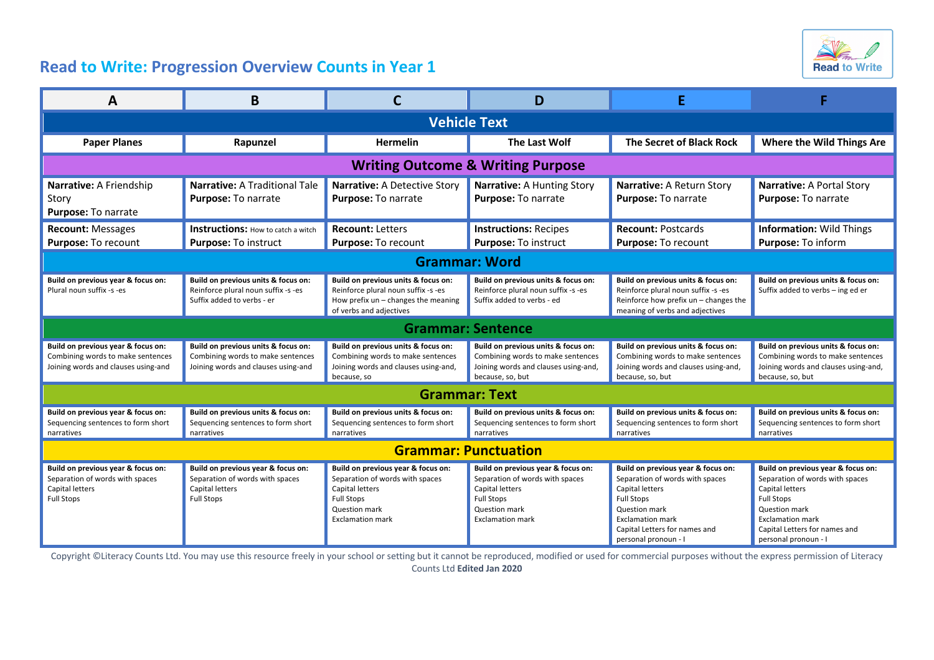

## **Read to Write: Progression Overview Counts in Year 1**

| А                                                                                                              | B                                                                                                               |                                                                                                                                                           | D                                                                                                                                                                |                                                                                                                                                                                                                  |                                                                                                                                                                                                                    |
|----------------------------------------------------------------------------------------------------------------|-----------------------------------------------------------------------------------------------------------------|-----------------------------------------------------------------------------------------------------------------------------------------------------------|------------------------------------------------------------------------------------------------------------------------------------------------------------------|------------------------------------------------------------------------------------------------------------------------------------------------------------------------------------------------------------------|--------------------------------------------------------------------------------------------------------------------------------------------------------------------------------------------------------------------|
| <b>Vehicle Text</b>                                                                                            |                                                                                                                 |                                                                                                                                                           |                                                                                                                                                                  |                                                                                                                                                                                                                  |                                                                                                                                                                                                                    |
| <b>Paper Planes</b>                                                                                            | Rapunzel                                                                                                        | <b>Hermelin</b>                                                                                                                                           | The Last Wolf                                                                                                                                                    | The Secret of Black Rock                                                                                                                                                                                         | Where the Wild Things Are                                                                                                                                                                                          |
| <b>Writing Outcome &amp; Writing Purpose</b>                                                                   |                                                                                                                 |                                                                                                                                                           |                                                                                                                                                                  |                                                                                                                                                                                                                  |                                                                                                                                                                                                                    |
| Narrative: A Friendship<br>Story<br>Purpose: To narrate                                                        | <b>Narrative: A Traditional Tale</b><br>Purpose: To narrate                                                     | Narrative: A Detective Story<br>Purpose: To narrate                                                                                                       | Narrative: A Hunting Story<br>Purpose: To narrate                                                                                                                | Narrative: A Return Story<br>Purpose: To narrate                                                                                                                                                                 | Narrative: A Portal Story<br>Purpose: To narrate                                                                                                                                                                   |
| <b>Recount: Messages</b><br>Purpose: To recount                                                                | <b>Instructions:</b> How to catch a witch<br><b>Purpose: To instruct</b>                                        | <b>Recount: Letters</b><br>Purpose: To recount                                                                                                            | <b>Instructions: Recipes</b><br>Purpose: To instruct                                                                                                             | <b>Recount: Postcards</b><br><b>Purpose: To recount</b>                                                                                                                                                          | <b>Information: Wild Things</b><br>Purpose: To inform                                                                                                                                                              |
| <b>Grammar: Word</b>                                                                                           |                                                                                                                 |                                                                                                                                                           |                                                                                                                                                                  |                                                                                                                                                                                                                  |                                                                                                                                                                                                                    |
| Build on previous year & focus on:<br>Plural noun suffix -s -es                                                | Build on previous units & focus on:<br>Reinforce plural noun suffix -s -es<br>Suffix added to verbs - er        | Build on previous units & focus on:<br>Reinforce plural noun suffix -s -es<br>How prefix $un$ – changes the meaning<br>of verbs and adjectives            | Build on previous units & focus on:<br>Reinforce plural noun suffix -s -es<br>Suffix added to verbs - ed                                                         | Build on previous units & focus on:<br>Reinforce plural noun suffix -s -es<br>Reinforce how prefix $un$ – changes the<br>meaning of verbs and adjectives                                                         | Build on previous units & focus on:<br>Suffix added to verbs - ing ed er                                                                                                                                           |
| <b>Grammar: Sentence</b>                                                                                       |                                                                                                                 |                                                                                                                                                           |                                                                                                                                                                  |                                                                                                                                                                                                                  |                                                                                                                                                                                                                    |
| Build on previous year & focus on:<br>Combining words to make sentences<br>Joining words and clauses using-and | Build on previous units & focus on:<br>Combining words to make sentences<br>Joining words and clauses using-and | Build on previous units & focus on:<br>Combining words to make sentences<br>Joining words and clauses using-and,<br>because, so                           | Build on previous units & focus on:<br>Combining words to make sentences<br>Joining words and clauses using-and,<br>because, so, but                             | Build on previous units & focus on:<br>Combining words to make sentences<br>Joining words and clauses using-and,<br>because, so, but                                                                             | Build on previous units & focus on:<br>Combining words to make sentences<br>Joining words and clauses using-and,<br>because, so, but                                                                               |
| <b>Grammar: Text</b>                                                                                           |                                                                                                                 |                                                                                                                                                           |                                                                                                                                                                  |                                                                                                                                                                                                                  |                                                                                                                                                                                                                    |
| Build on previous year & focus on:<br>Sequencing sentences to form short<br>narratives                         | Build on previous units & focus on:<br>Sequencing sentences to form short<br>narratives                         | Build on previous units & focus on:<br>Sequencing sentences to form short<br>narratives                                                                   | Build on previous units & focus on:<br>Sequencing sentences to form short<br>narratives                                                                          | Build on previous units & focus on:<br>Sequencing sentences to form short<br>narratives                                                                                                                          | Build on previous units & focus on:<br>Sequencing sentences to form short<br>narratives                                                                                                                            |
| <b>Grammar: Punctuation</b>                                                                                    |                                                                                                                 |                                                                                                                                                           |                                                                                                                                                                  |                                                                                                                                                                                                                  |                                                                                                                                                                                                                    |
| Build on previous year & focus on:<br>Separation of words with spaces<br>Capital letters<br><b>Full Stops</b>  | Build on previous year & focus on:<br>Separation of words with spaces<br>Capital letters<br><b>Full Stops</b>   | Build on previous year & focus on:<br>Separation of words with spaces<br>Capital letters<br><b>Full Stops</b><br>Question mark<br><b>Exclamation mark</b> | Build on previous year & focus on:<br>Separation of words with spaces<br>Capital letters<br><b>Full Stops</b><br><b>Question mark</b><br><b>Exclamation mark</b> | Build on previous year & focus on:<br>Separation of words with spaces<br>Capital letters<br><b>Full Stops</b><br>Question mark<br><b>Exclamation mark</b><br>Capital Letters for names and<br>personal pronoun - | Build on previous year & focus on:<br>Separation of words with spaces<br>Capital letters<br><b>Full Stops</b><br>Question mark<br><b>Exclamation mark</b><br>Capital Letters for names and<br>personal pronoun - I |

Copyright ©Literacy Counts Ltd. You may use this resource freely in your school or setting but it cannot be reproduced, modified or used for commercial purposes without the express permission of Literacy Counts Ltd **Edited Jan 2020**